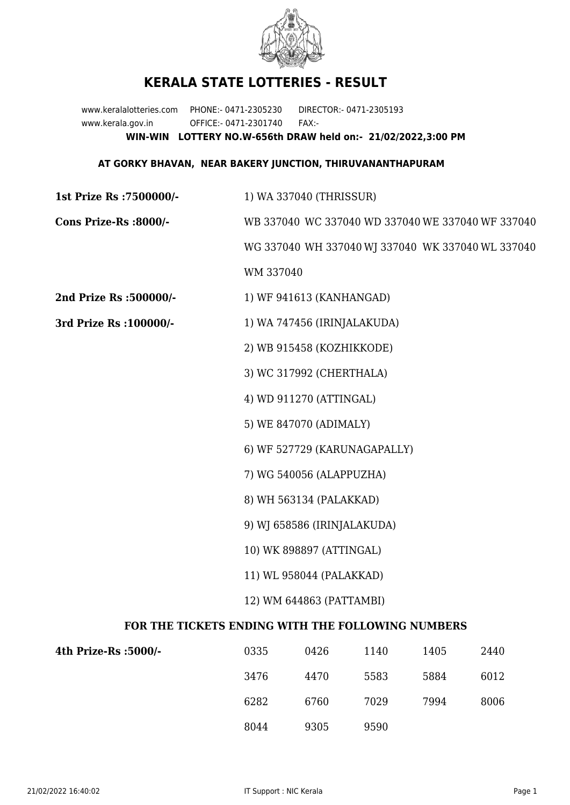

## **KERALA STATE LOTTERIES - RESULT**

www.keralalotteries.com PHONE:- 0471-2305230 DIRECTOR:- 0471-2305193 www.kerala.gov.in OFFICE:- 0471-2301740 FAX:- **WIN-WIN LOTTERY NO.W-656th DRAW held on:- 21/02/2022,3:00 PM**

## **AT GORKY BHAVAN, NEAR BAKERY JUNCTION, THIRUVANANTHAPURAM**

**1st Prize Rs :7500000/-** 1) WA 337040 (THRISSUR) **Cons Prize-Rs :8000/-** WB 337040 WC 337040 WD 337040 WE 337040 WF 337040 WG 337040 WH 337040 WJ 337040 WK 337040 WL 337040 WM 337040 **2nd Prize Rs :500000/-** 1) WF 941613 (KANHANGAD) **3rd Prize Rs :100000/-** 1) WA 747456 (IRINJALAKUDA) 2) WB 915458 (KOZHIKKODE) 3) WC 317992 (CHERTHALA) 4) WD 911270 (ATTINGAL) 5) WE 847070 (ADIMALY) 6) WF 527729 (KARUNAGAPALLY) 7) WG 540056 (ALAPPUZHA) 8) WH 563134 (PALAKKAD) 9) WJ 658586 (IRINJALAKUDA) 10) WK 898897 (ATTINGAL) 11) WL 958044 (PALAKKAD) 12) WM 644863 (PATTAMBI) **FOR THE TICKETS ENDING WITH THE FOLLOWING NUMBERS 4th Prize-Rs :5000/-** 0335 0426 1140 1405 2440

| -/lth Prize-Rs :5000 | 0335 | 0426 | 1140 | 1405 | 2440 |
|----------------------|------|------|------|------|------|
|                      | 3476 | 4470 | 5583 | 5884 | 6012 |
|                      | 6282 | 6760 | 7029 | 7994 | 8006 |
|                      | 8044 | 9305 | 9590 |      |      |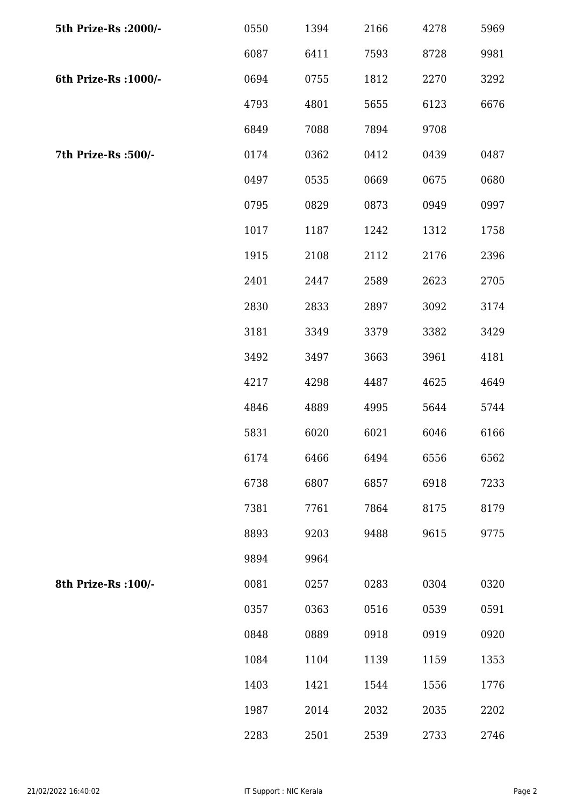| 5th Prize-Rs : 2000/- | 0550 | 1394 | 2166 | 4278 | 5969 |
|-----------------------|------|------|------|------|------|
|                       | 6087 | 6411 | 7593 | 8728 | 9981 |
| 6th Prize-Rs : 1000/- | 0694 | 0755 | 1812 | 2270 | 3292 |
|                       | 4793 | 4801 | 5655 | 6123 | 6676 |
|                       | 6849 | 7088 | 7894 | 9708 |      |
| 7th Prize-Rs :500/-   | 0174 | 0362 | 0412 | 0439 | 0487 |
|                       | 0497 | 0535 | 0669 | 0675 | 0680 |
|                       | 0795 | 0829 | 0873 | 0949 | 0997 |
|                       | 1017 | 1187 | 1242 | 1312 | 1758 |
|                       | 1915 | 2108 | 2112 | 2176 | 2396 |
|                       | 2401 | 2447 | 2589 | 2623 | 2705 |
|                       | 2830 | 2833 | 2897 | 3092 | 3174 |
|                       | 3181 | 3349 | 3379 | 3382 | 3429 |
|                       | 3492 | 3497 | 3663 | 3961 | 4181 |
|                       | 4217 | 4298 | 4487 | 4625 | 4649 |
|                       | 4846 | 4889 | 4995 | 5644 | 5744 |
|                       | 5831 | 6020 | 6021 | 6046 | 6166 |
|                       | 6174 | 6466 | 6494 | 6556 | 6562 |
|                       | 6738 | 6807 | 6857 | 6918 | 7233 |
|                       | 7381 | 7761 | 7864 | 8175 | 8179 |
|                       | 8893 | 9203 | 9488 | 9615 | 9775 |
|                       | 9894 | 9964 |      |      |      |
| 8th Prize-Rs : 100/-  | 0081 | 0257 | 0283 | 0304 | 0320 |
|                       | 0357 | 0363 | 0516 | 0539 | 0591 |
|                       | 0848 | 0889 | 0918 | 0919 | 0920 |
|                       | 1084 | 1104 | 1139 | 1159 | 1353 |
|                       | 1403 | 1421 | 1544 | 1556 | 1776 |
|                       | 1987 | 2014 | 2032 | 2035 | 2202 |
|                       | 2283 | 2501 | 2539 | 2733 | 2746 |